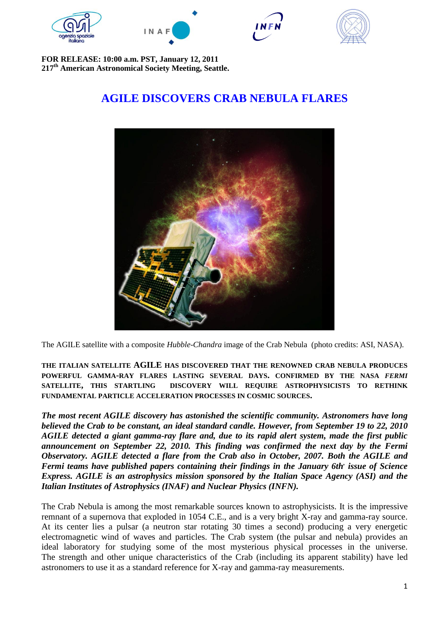







**FOR RELEASE: 10:00 a.m. PST, January 12, 2011 217th American Astronomical Society Meeting, Seattle.**

## **AGILE DISCOVERS CRAB NEBULA FLARES**



The AGILE satellite with a composite *Hubble*-*Chandra* image of the Crab Nebula (photo credits: ASI, NASA).

**THE ITALIAN SATELLITE AGILE HAS DISCOVERED THAT THE RENOWNED CRAB NEBULA PRODUCES POWERFUL GAMMA-RAY FLARES LASTING SEVERAL DAYS. CONFIRMED BY THE NASA** *FERMI* **SATELLITE, THIS STARTLING DISCOVERY WILL REQUIRE ASTROPHYSICISTS TO RETHINK FUNDAMENTAL PARTICLE ACCELERATION PROCESSES IN COSMIC SOURCES.**

*The most recent AGILE discovery has astonished the scientific community. Astronomers have long believed the Crab to be constant, an ideal standard candle. However, from September 19 to 22, 2010 AGILE detected a giant gamma-ray flare and, due to its rapid alert system, made the first public announcement on September 22, 2010. This finding was confirmed the next day by the Fermi Observatory. AGILE detected a flare from the Crab also in October, 2007. Both the AGILE and Fermi teams have published papers containing their findings in the January 6th, issue of Science Express. AGILE is an astrophysics mission sponsored by the Italian Space Agency (ASI) and the Italian Institutes of Astrophysics (INAF) and Nuclear Physics (INFN).*

The Crab Nebula is among the most remarkable sources known to astrophysicists. It is the impressive remnant of a supernova that exploded in 1054 C.E., and is a very bright X-ray and gamma-ray source. At its center lies a pulsar (a neutron star rotating 30 times a second) producing a very energetic electromagnetic wind of waves and particles. The Crab system (the pulsar and nebula) provides an ideal laboratory for studying some of the most mysterious physical processes in the universe. The strength and other unique characteristics of the Crab (including its apparent stability) have led astronomers to use it as a standard reference for X-ray and gamma-ray measurements.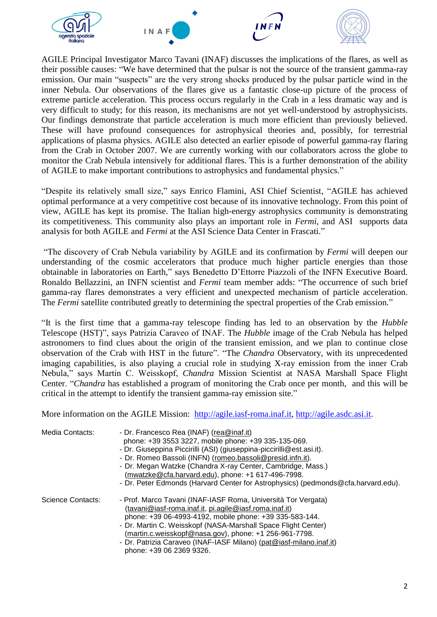

AGILE Principal Investigator Marco Tavani (INAF) discusses the implications of the flares, as well as their possible causes: "We have determined that the pulsar is not the source of the transient gamma-ray emission. Our main "suspects" are the very strong shocks produced by the pulsar particle wind in the inner Nebula. Our observations of the flares give us a fantastic close-up picture of the process of extreme particle acceleration. This process occurs regularly in the Crab in a less dramatic way and is very difficult to study; for this reason, its mechanisms are not yet well-understood by astrophysicists. Our findings demonstrate that particle acceleration is much more efficient than previously believed. These will have profound consequences for astrophysical theories and, possibly, for terrestrial applications of plasma physics. AGILE also detected an earlier episode of powerful gamma-ray flaring from the Crab in October 2007. We are currently working with our collaborators across the globe to monitor the Crab Nebula intensively for additional flares. This is a further demonstration of the ability of AGILE to make important contributions to astrophysics and fundamental physics."

"Despite its relatively small size," says Enrico Flamini, ASI Chief Scientist, "AGILE has achieved optimal performance at a very competitive cost because of its innovative technology. From this point of view, AGILE has kept its promise. The Italian high-energy astrophysics community is demonstrating its competitiveness. This community also plays an important role in *Fermi*, and ASI supports data analysis for both AGILE and *Fermi* at the ASI Science Data Center in Frascati."

"The discovery of Crab Nebula variability by AGILE and its confirmation by *Fermi* will deepen our understanding of the cosmic accelerators that produce much higher particle energies than those obtainable in laboratories on Earth," says Benedetto D'Ettorre Piazzoli of the INFN Executive Board. Ronaldo Bellazzini, an INFN scientist and *Fermi* team member adds: "The occurrence of such brief gamma-ray flares demonstrates a very efficient and unexpected mechanism of particle acceleration. The *Fermi* satellite contributed greatly to determining the spectral properties of the Crab emission."

"It is the first time that a gamma-ray telescope finding has led to an observation by the *Hubble* Telescope (HST)", says Patrizia Caraveo of INAF. The *Hubble* image of the Crab Nebula has helped astronomers to find clues about the origin of the transient emission, and we plan to continue close observation of the Crab with HST in the future". "The *Chandra* Observatory, with its unprecedented imaging capabilities, is also playing a crucial role in studying X-ray emission from the inner Crab Nebula," says Martin C. Weisskopf, *Chandra* Mission Scientist at NASA Marshall Space Flight Center. "*Chandra* has established a program of monitoring the Crab once per month, and this will be critical in the attempt to identify the transient gamma-ray emission site."

More information on the AGILE Mission: [http://agile.iasf-roma.inaf.it,](http://agile.iasf-roma.inaf.it/) [http://agile.asdc.asi.it.](http://agile.asdc.asi.it/)

| Media Contacts:          | - Dr. Francesco Rea (INAF) (rea@inaf.it)<br>phone: +39 3553 3227, mobile phone: +39 335-135-069.<br>- Dr. Giuseppina Piccirilli (ASI) (giuseppina-piccirilli@est.asi.it).<br>- Dr. Romeo Bassoli (INFN) (romeo.bassoli@presid.infn.it).<br>- Dr. Megan Watzke (Chandra X-ray Center, Cambridge, Mass.)<br>(mwatzke@cfa.harvard.edu), phone: +1 617-496-7998.<br>- Dr. Peter Edmonds (Harvard Center for Astrophysics) (pedmonds@cfa.harvard.edu). |
|--------------------------|---------------------------------------------------------------------------------------------------------------------------------------------------------------------------------------------------------------------------------------------------------------------------------------------------------------------------------------------------------------------------------------------------------------------------------------------------|
| <b>Science Contacts:</b> | - Prof. Marco Tavani (INAF-IASF Roma, Università Tor Vergata)<br>(tavani@iasf-roma.inaf.it, pi.agile@iasf.roma.inaf.it)<br>phone: +39 06-4993-4192, mobile phone: +39 335-583-144.<br>- Dr. Martin C. Weisskopf (NASA-Marshall Space Flight Center)<br>(martin.c.weisskopf@nasa.gov), phone: +1 256-961-7798.<br>- Dr. Patrizia Caraveo (INAF-IASF Milano) (pat@iasf-milano.inaf.it)<br>phone: +39 06 2369 9326.                                  |